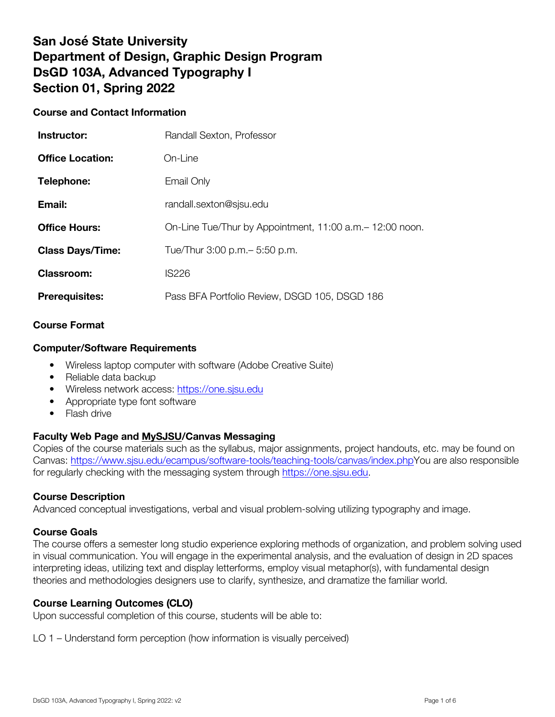# **San José State University Department of Design, Graphic Design Program DsGD 103A, Advanced Typography I Section 01, Spring 2022**

# **Course and Contact Information**

| Instructor:             | Randall Sexton, Professor                                 |
|-------------------------|-----------------------------------------------------------|
| <b>Office Location:</b> | On-Line                                                   |
| Telephone:              | Email Only                                                |
| Email:                  | randall.sexton@sjsu.edu                                   |
| <b>Office Hours:</b>    | On-Line Tue/Thur by Appointment, 11:00 a.m. - 12:00 noon. |
| <b>Class Days/Time:</b> | Tue/Thur 3:00 p.m. - 5:50 p.m.                            |
| <b>Classroom:</b>       | <b>IS226</b>                                              |
| <b>Prerequisites:</b>   | Pass BFA Portfolio Review, DSGD 105, DSGD 186             |

### **Course Format**

### **Computer/Software Requirements**

- Wireless laptop computer with software (Adobe Creative Suite)
- Reliable data backup
- Wireless network access: https://one.sjsu.edu
- Appropriate type font software
- Flash drive

# **Faculty Web Page and MySJSU/Canvas Messaging**

Copies of the course materials such as the syllabus, major assignments, project handouts, etc. may be found on Canvas: https://www.sjsu.edu/ecampus/software-tools/teaching-tools/canvas/index.phpYou are also responsible for regularly checking with the messaging system through https://one.sjsu.edu.

### **Course Description**

Advanced conceptual investigations, verbal and visual problem-solving utilizing typography and image.

### **Course Goals**

The course offers a semester long studio experience exploring methods of organization, and problem solving used in visual communication. You will engage in the experimental analysis, and the evaluation of design in 2D spaces interpreting ideas, utilizing text and display letterforms, employ visual metaphor(s), with fundamental design theories and methodologies designers use to clarify, synthesize, and dramatize the familiar world.

# **Course Learning Outcomes** (CLO)

Upon successful completion of this course, students will be able to:

LO 1 – Understand form perception (how information is visually perceived)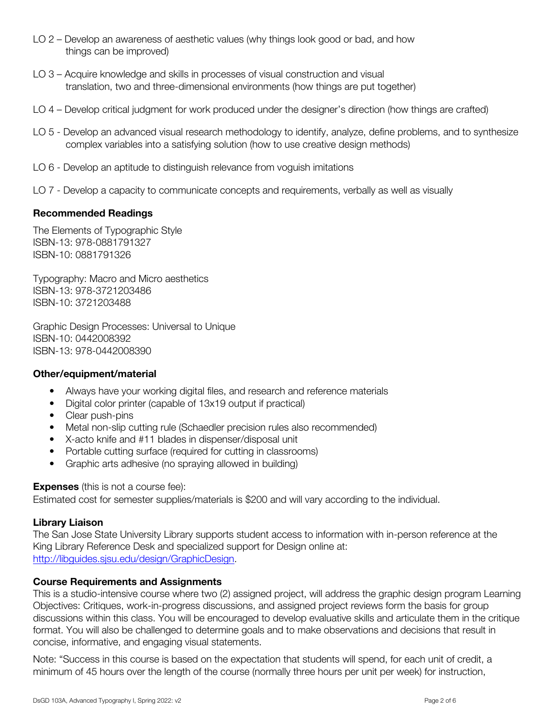- LO 2 Develop an awareness of aesthetic values (why things look good or bad, and how things can be improved)
- LO 3 Acquire knowledge and skills in processes of visual construction and visual translation, two and three-dimensional environments (how things are put together)
- LO 4 Develop critical judgment for work produced under the designer's direction (how things are crafted)
- LO 5 Develop an advanced visual research methodology to identify, analyze, define problems, and to synthesize complex variables into a satisfying solution (how to use creative design methods)
- LO 6 Develop an aptitude to distinguish relevance from voguish imitations
- LO 7 Develop a capacity to communicate concepts and requirements, verbally as well as visually

### **Recommended Readings**

The Elements of Typographic Style ISBN-13: 978-0881791327 ISBN-10: 0881791326

Typography: Macro and Micro aesthetics ISBN-13: 978-3721203486 ISBN-10: 3721203488

Graphic Design Processes: Universal to Unique ISBN-10: 0442008392 ISBN-13: 978-0442008390

### **Other/equipment/material**

- Always have your working digital files, and research and reference materials
- Digital color printer (capable of 13x19 output if practical)
- Clear push-pins
- Metal non-slip cutting rule (Schaedler precision rules also recommended)
- X-acto knife and #11 blades in dispenser/disposal unit
- Portable cutting surface (required for cutting in classrooms)
- Graphic arts adhesive (no spraying allowed in building)

### **Expenses** (this is not a course fee):

Estimated cost for semester supplies/materials is \$200 and will vary according to the individual.

### **Library Liaison**

The San Jose State University Library supports student access to information with in-person reference at the King Library Reference Desk and specialized support for Design online at: http://libguides.sjsu.edu/design/GraphicDesign.

### **Course Requirements and Assignments**

This is a studio-intensive course where two (2) assigned project, will address the graphic design program Learning Objectives: Critiques, work-in-progress discussions, and assigned project reviews form the basis for group discussions within this class. You will be encouraged to develop evaluative skills and articulate them in the critique format. You will also be challenged to determine goals and to make observations and decisions that result in concise, informative, and engaging visual statements.

Note: "Success in this course is based on the expectation that students will spend, for each unit of credit, a minimum of 45 hours over the length of the course (normally three hours per unit per week) for instruction,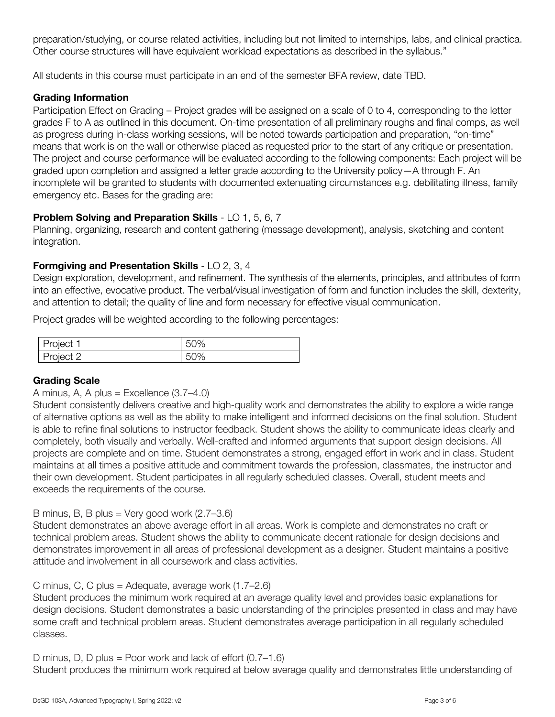preparation/studying, or course related activities, including but not limited to internships, labs, and clinical practica. Other course structures will have equivalent workload expectations as described in the syllabus."

All students in this course must participate in an end of the semester BFA review, date TBD.

# Grading Information

Participation Effect on Grading – Project grades will be assigned on a scale of 0 to 4, corresponding to the letter grades F to A as outlined in this document. On-time presentation of all preliminary roughs and final comps, as well as progress during in-class working sessions, will be noted towards participation and preparation, "on-time" means that work is on the wall or otherwise placed as requested prior to the start of any critique or presentation. The project and course performance will be evaluated according to the following components: Each project will be graded upon completion and assigned a letter grade according to the University policy—A through F. An incomplete will be granted to students with documented extenuating circumstances e.g. debilitating illness, family emergency etc. Bases for the grading are:

# **Problem Solving and Preparation Skills** - LO 1, 5, 6, 7

Planning, organizing, research and content gathering (message development), analysis, sketching and content integration.

# **Formgiving and Presentation Skills** - LO 2, 3, 4

Design exploration, development, and refinement. The synthesis of the elements, principles, and attributes of form into an effective, evocative product. The verbal/visual investigation of form and function includes the skill, dexterity, and attention to detail; the quality of line and form necessary for effective visual communication.

Project grades will be weighted according to the following percentages:

| <i>P</i> roject                  | 50% |
|----------------------------------|-----|
| $\cap$<br><b>DIACT</b><br>$\sim$ | 50% |

# Grading Scale

# A minus, A, A plus = Excellence  $(3.7–4.0)$

Student consistently delivers creative and high-quality work and demonstrates the ability to explore a wide range of alternative options as well as the ability to make intelligent and informed decisions on the final solution. Student is able to refine final solutions to instructor feedback. Student shows the ability to communicate ideas clearly and completely, both visually and verbally. Well-crafted and informed arguments that support design decisions. All projects are complete and on time. Student demonstrates a strong, engaged effort in work and in class. Student maintains at all times a positive attitude and commitment towards the profession, classmates, the instructor and their own development. Student participates in all regularly scheduled classes. Overall, student meets and exceeds the requirements of the course.

# B minus, B, B plus = Very good work  $(2.7-3.6)$

Student demonstrates an above average effort in all areas. Work is complete and demonstrates no craft or technical problem areas. Student shows the ability to communicate decent rationale for design decisions and demonstrates improvement in all areas of professional development as a designer. Student maintains a positive attitude and involvement in all coursework and class activities.

# C minus, C, C plus = Adequate, average work (1.7–2.6)

Student produces the minimum work required at an average quality level and provides basic explanations for design decisions. Student demonstrates a basic understanding of the principles presented in class and may have some craft and technical problem areas. Student demonstrates average participation in all regularly scheduled classes.

# D minus, D, D plus = Poor work and lack of effort (0.7–1.6)

Student produces the minimum work required at below average quality and demonstrates little understanding of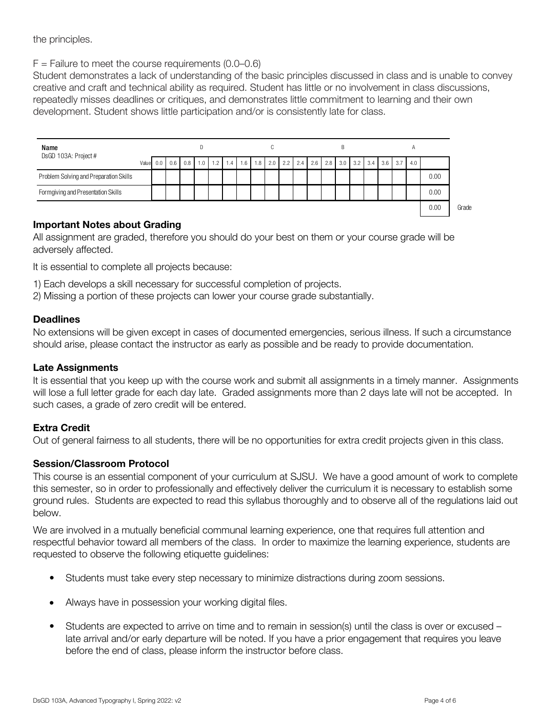the principles.

 $F =$  Failure to meet the course requirements (0.0–0.6)

Student demonstrates a lack of understanding of the basic principles discussed in class and is unable to convey creative and craft and technical ability as required. Student has little or no involvement in class discussions, repeatedly misses deadlines or critiques, and demonstrates little commitment to learning and their own development. Student shows little participation and/or is consistently late for class.



# Important Notes about Grading

All assignment are graded, therefore you should do your best on them or your course grade will be adversely affected.

It is essential to complete all projects because:

1) Each develops a skill necessary for successful completion of projects.

2) Missing a portion of these projects can lower your course grade substantially.

### **Deadlines**

No extensions will be given except in cases of documented emergencies, serious illness. If such a circumstance should arise, please contact the instructor as early as possible and be ready to provide documentation.

### Late Assignments

It is essential that you keep up with the course work and submit all assignments in a timely manner. Assignments will lose a full letter grade for each day late. Graded assignments more than 2 days late will not be accepted. In such cases, a grade of zero credit will be entered.

# Extra Credit

Out of general fairness to all students, there will be no opportunities for extra credit projects given in this class.

# Session/Classroom Protocol

This course is an essential component of your curriculum at SJSU. We have a good amount of work to complete this semester, so in order to professionally and effectively deliver the curriculum it is necessary to establish some ground rules. Students are expected to read this syllabus thoroughly and to observe all of the regulations laid out below.

We are involved in a mutually beneficial communal learning experience, one that requires full attention and respectful behavior toward all members of the class. In order to maximize the learning experience, students are requested to observe the following etiquette guidelines:

- Students must take every step necessary to minimize distractions during zoom sessions.
- Always have in possession your working digital files.
- Students are expected to arrive on time and to remain in session(s) until the class is over or excused late arrival and/or early departure will be noted. If you have a prior engagement that requires you leave before the end of class, please inform the instructor before class.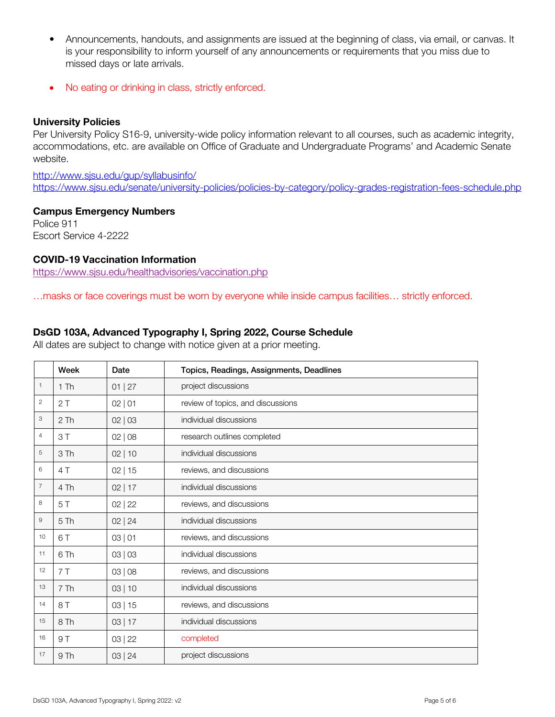- Announcements, handouts, and assignments are issued at the beginning of class, via email, or canvas. It is your responsibility to inform yourself of any announcements or requirements that you miss due to missed days or late arrivals.
- No eating or drinking in class, strictly enforced.

### University Policies

Per University Policy S16-9, university-wide policy information relevant to all courses, such as academic integrity, accommodations, etc. are available on Office of Graduate and Undergraduate Programs' and Academic Senate website.

http://www.sjsu.edu/gup/syllabusinfo/ https://www.sjsu.edu/senate/university-policies/policies-by-category/policy-grades-registration-fees-schedule.php

### Campus Emergency Numbers

Police 911 Escort Service 4-2222

# COVID-19 Vaccination Information

https://www.sjsu.edu/healthadvisories/vaccination.php

…masks or face coverings must be worn by everyone while inside campus facilities… strictly enforced.

### **DsGD 103A, Advanced Typography I, Spring 2022, Course Schedule**

All dates are subject to change with notice given at a prior meeting.

|                | Week            | Date      | Topics, Readings, Assignments, Deadlines |
|----------------|-----------------|-----------|------------------------------------------|
| $\mathbf{1}$   | 1Th             | 01   27   | project discussions                      |
| $\overline{c}$ | 2T              | 02   01   | review of topics, and discussions        |
| 3              | 2Th             | 02   03   | individual discussions                   |
| $\overline{4}$ | 3T              | 02   08   | research outlines completed              |
| 5              | 3 Th            | 02 10     | individual discussions                   |
| 6              | 4T              | 02 15     | reviews, and discussions                 |
| $\overline{7}$ | 4 Th            | $02$   17 | individual discussions                   |
| 8              | 5T              | 02   22   | reviews, and discussions                 |
| 9              | 5Th             | 02   24   | individual discussions                   |
| 10             | 6 T             | 03   01   | reviews, and discussions                 |
| 11             | 6 Th            | 03   03   | individual discussions                   |
| 12             | 7T              | 03   08   | reviews, and discussions                 |
| 13             | 7 Th            | 03 10     | individual discussions                   |
| 14             | 8 T             | 03 15     | reviews, and discussions                 |
| 15             | 8 Th            | 03 17     | individual discussions                   |
| 16             | 9T              | 03   22   | completed                                |
| 17             | 9 <sub>Th</sub> | 03   24   | project discussions                      |